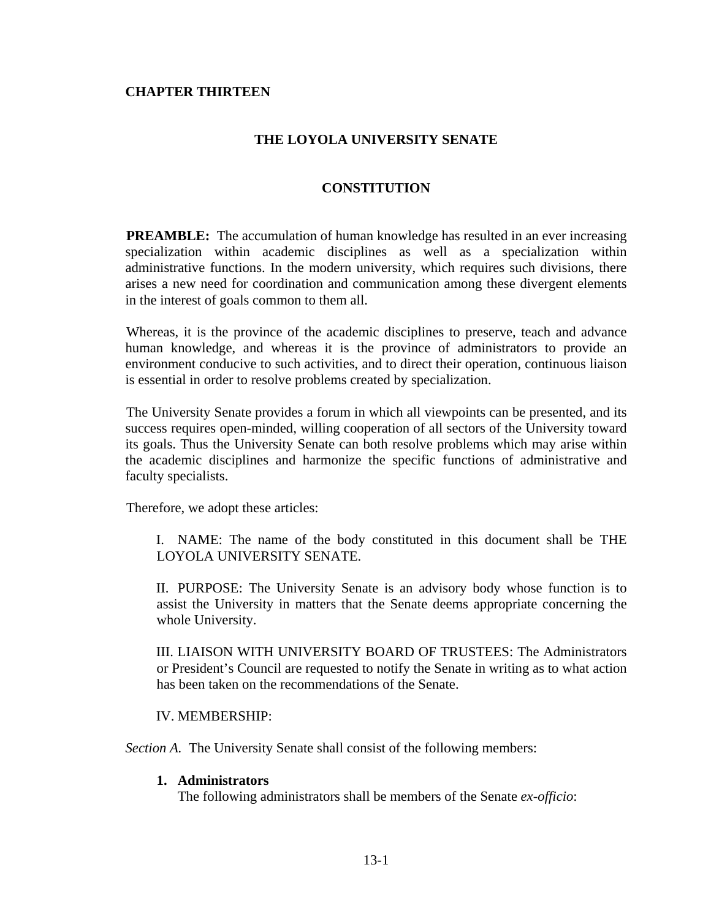## **CHAPTER THIRTEEN**

# **THE LOYOLA UNIVERSITY SENATE**

## **CONSTITUTION**

**PREAMBLE:** The accumulation of human knowledge has resulted in an ever increasing specialization within academic disciplines as well as a specialization within administrative functions. In the modern university, which requires such divisions, there arises a new need for coordination and communication among these divergent elements in the interest of goals common to them all.

Whereas, it is the province of the academic disciplines to preserve, teach and advance human knowledge, and whereas it is the province of administrators to provide an environment conducive to such activities, and to direct their operation, continuous liaison is essential in order to resolve problems created by specialization.

The University Senate provides a forum in which all viewpoints can be presented, and its success requires open-minded, willing cooperation of all sectors of the University toward its goals. Thus the University Senate can both resolve problems which may arise within the academic disciplines and harmonize the specific functions of administrative and faculty specialists.

Therefore, we adopt these articles:

I. NAME: The name of the body constituted in this document shall be THE LOYOLA UNIVERSITY SENATE.

II. PURPOSE: The University Senate is an advisory body whose function is to assist the University in matters that the Senate deems appropriate concerning the whole University.

III. LIAISON WITH UNIVERSITY BOARD OF TRUSTEES: The Administrators or President's Council are requested to notify the Senate in writing as to what action has been taken on the recommendations of the Senate.

## IV. MEMBERSHIP:

*Section A.* The University Senate shall consist of the following members:

#### **1. Administrators**

The following administrators shall be members of the Senate *ex-officio*: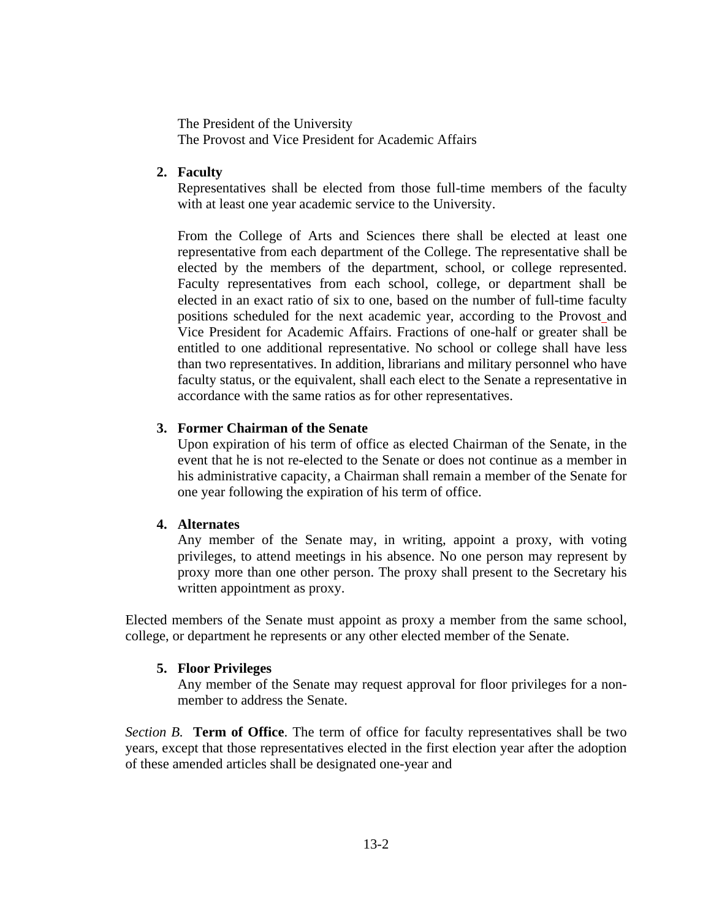The President of the University The Provost and Vice President for Academic Affairs

# **2. Faculty**

Representatives shall be elected from those full-time members of the faculty with at least one year academic service to the University.

From the College of Arts and Sciences there shall be elected at least one representative from each department of the College. The representative shall be elected by the members of the department, school, or college represented. Faculty representatives from each school, college, or department shall be elected in an exact ratio of six to one, based on the number of full-time faculty positions scheduled for the next academic year, according to the Provost and Vice President for Academic Affairs. Fractions of one-half or greater shall be entitled to one additional representative. No school or college shall have less than two representatives. In addition, librarians and military personnel who have faculty status, or the equivalent, shall each elect to the Senate a representative in accordance with the same ratios as for other representatives.

# **3. Former Chairman of the Senate**

Upon expiration of his term of office as elected Chairman of the Senate, in the event that he is not re-elected to the Senate or does not continue as a member in his administrative capacity, a Chairman shall remain a member of the Senate for one year following the expiration of his term of office.

# **4. Alternates**

Any member of the Senate may, in writing, appoint a proxy, with voting privileges, to attend meetings in his absence. No one person may represent by proxy more than one other person. The proxy shall present to the Secretary his written appointment as proxy.

Elected members of the Senate must appoint as proxy a member from the same school, college, or department he represents or any other elected member of the Senate.

# **5. Floor Privileges**

Any member of the Senate may request approval for floor privileges for a nonmember to address the Senate.

*Section B.* **Term of Office**. The term of office for faculty representatives shall be two years, except that those representatives elected in the first election year after the adoption of these amended articles shall be designated one-year and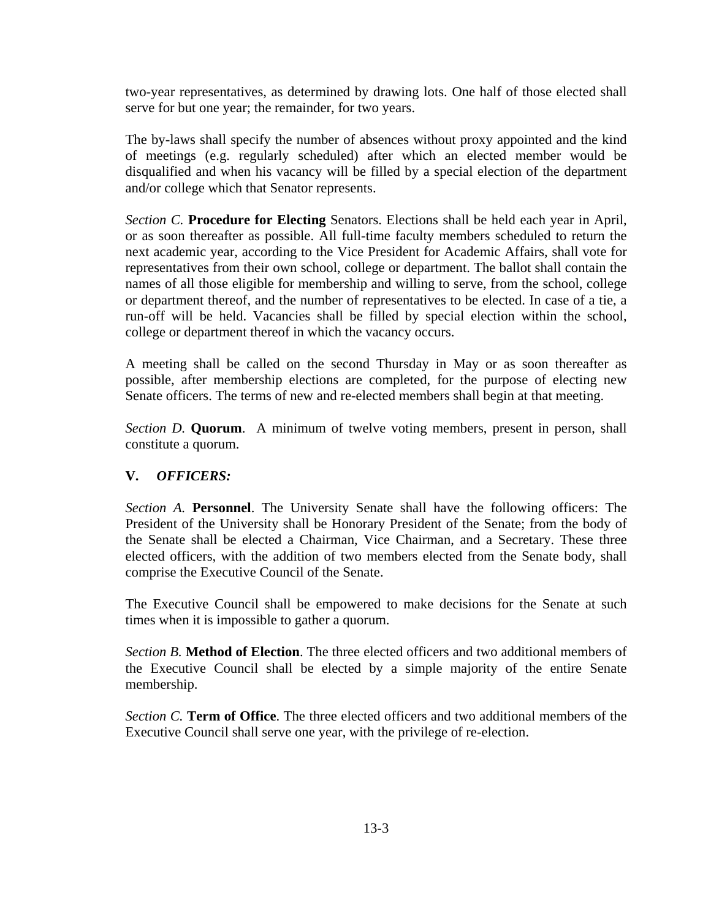two-year representatives, as determined by drawing lots. One half of those elected shall serve for but one year; the remainder, for two years.

The by-laws shall specify the number of absences without proxy appointed and the kind of meetings (e.g. regularly scheduled) after which an elected member would be disqualified and when his vacancy will be filled by a special election of the department and/or college which that Senator represents.

*Section C.* **Procedure for Electing** Senators. Elections shall be held each year in April, or as soon thereafter as possible. All full-time faculty members scheduled to return the next academic year, according to the Vice President for Academic Affairs, shall vote for representatives from their own school, college or department. The ballot shall contain the names of all those eligible for membership and willing to serve, from the school, college or department thereof, and the number of representatives to be elected. In case of a tie, a run-off will be held. Vacancies shall be filled by special election within the school, college or department thereof in which the vacancy occurs.

A meeting shall be called on the second Thursday in May or as soon thereafter as possible, after membership elections are completed, for the purpose of electing new Senate officers. The terms of new and re-elected members shall begin at that meeting.

*Section D.* **Quorum**. A minimum of twelve voting members, present in person, shall constitute a quorum.

# **V.** *OFFICERS:*

*Section A.* **Personnel**. The University Senate shall have the following officers: The President of the University shall be Honorary President of the Senate; from the body of the Senate shall be elected a Chairman, Vice Chairman, and a Secretary. These three elected officers, with the addition of two members elected from the Senate body, shall comprise the Executive Council of the Senate.

The Executive Council shall be empowered to make decisions for the Senate at such times when it is impossible to gather a quorum.

*Section B.* **Method of Election**. The three elected officers and two additional members of the Executive Council shall be elected by a simple majority of the entire Senate membership.

*Section C.* **Term of Office**. The three elected officers and two additional members of the Executive Council shall serve one year, with the privilege of re-election.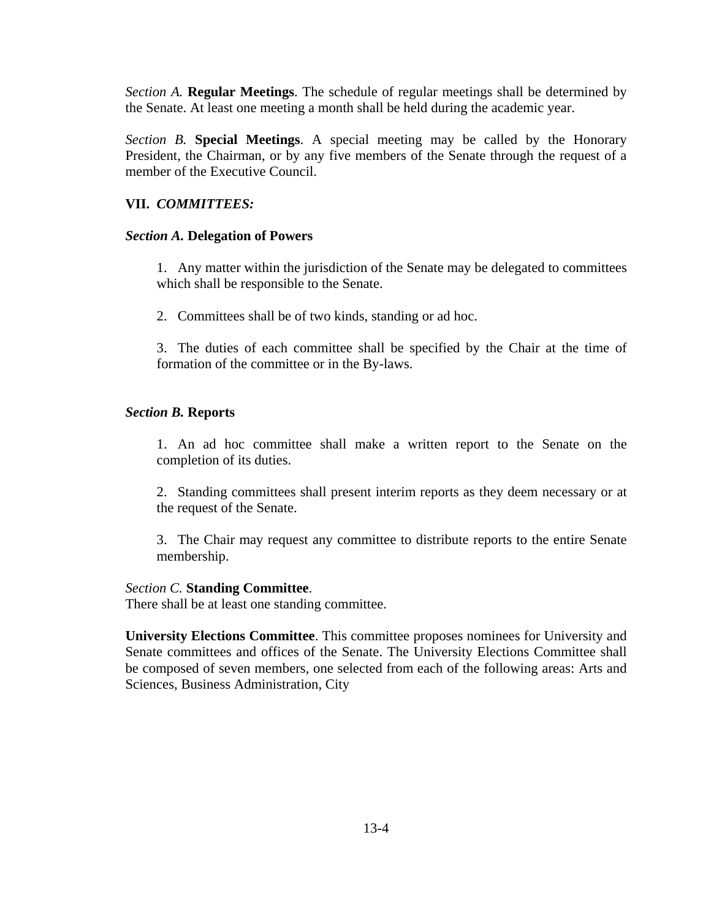*Section A.* **Regular Meetings**. The schedule of regular meetings shall be determined by the Senate. At least one meeting a month shall be held during the academic year.

*Section B.* **Special Meetings**. A special meeting may be called by the Honorary President, the Chairman, or by any five members of the Senate through the request of a member of the Executive Council.

# **VII.** *COMMITTEES:*

### *Section A.* **Delegation of Powers**

1. Any matter within the jurisdiction of the Senate may be delegated to committees which shall be responsible to the Senate.

2. Committees shall be of two kinds, standing or ad hoc.

3. The duties of each committee shall be specified by the Chair at the time of formation of the committee or in the By-laws.

## *Section B.* **Reports**

1. An ad hoc committee shall make a written report to the Senate on the completion of its duties.

2. Standing committees shall present interim reports as they deem necessary or at the request of the Senate.

3. The Chair may request any committee to distribute reports to the entire Senate membership.

#### *Section C.* **Standing Committee**.

There shall be at least one standing committee.

**University Elections Committee**. This committee proposes nominees for University and Senate committees and offices of the Senate. The University Elections Committee shall be composed of seven members, one selected from each of the following areas: Arts and Sciences, Business Administration, City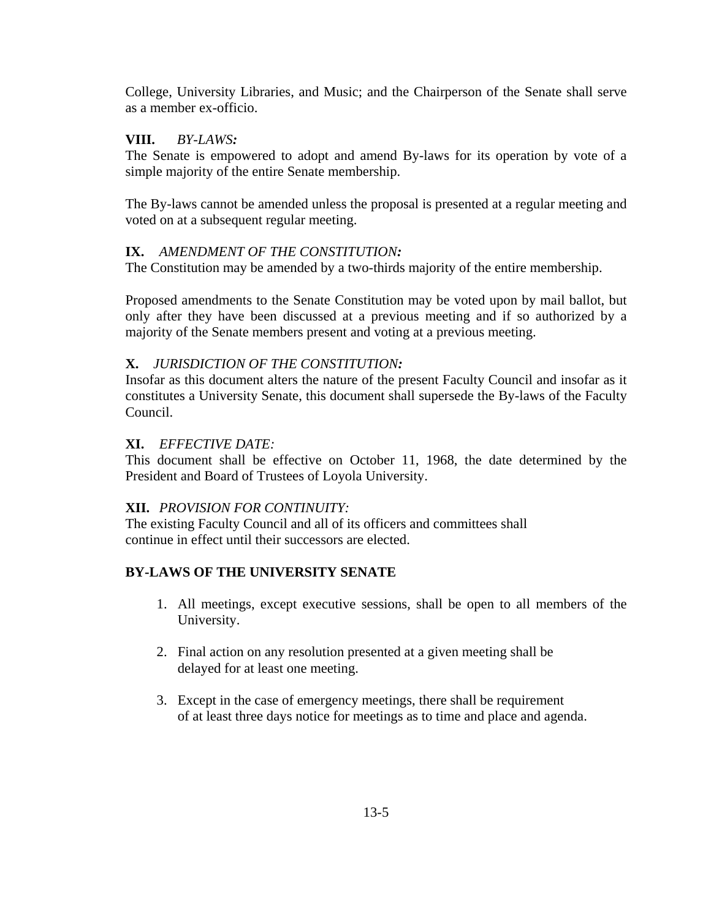College, University Libraries, and Music; and the Chairperson of the Senate shall serve as a member ex-officio.

#### **VIII.** *BY-LAWS:*

The Senate is empowered to adopt and amend By-laws for its operation by vote of a simple majority of the entire Senate membership.

The By-laws cannot be amended unless the proposal is presented at a regular meeting and voted on at a subsequent regular meeting.

## **IX.** *AMENDMENT OF THE CONSTITUTION:*

The Constitution may be amended by a two-thirds majority of the entire membership.

Proposed amendments to the Senate Constitution may be voted upon by mail ballot, but only after they have been discussed at a previous meeting and if so authorized by a majority of the Senate members present and voting at a previous meeting.

## **X.** *JURISDICTION OF THE CONSTITUTION:*

Insofar as this document alters the nature of the present Faculty Council and insofar as it constitutes a University Senate, this document shall supersede the By-laws of the Faculty Council.

#### **XI.** *EFFECTIVE DATE:*

This document shall be effective on October 11, 1968, the date determined by the President and Board of Trustees of Loyola University.

## **XII.** *PROVISION FOR CONTINUITY:*

The existing Faculty Council and all of its officers and committees shall continue in effect until their successors are elected.

## **BY-LAWS OF THE UNIVERSITY SENATE**

- 1. All meetings, except executive sessions, shall be open to all members of the University.
- 2. Final action on any resolution presented at a given meeting shall be delayed for at least one meeting.
- 3. Except in the case of emergency meetings, there shall be requirement of at least three days notice for meetings as to time and place and agenda.